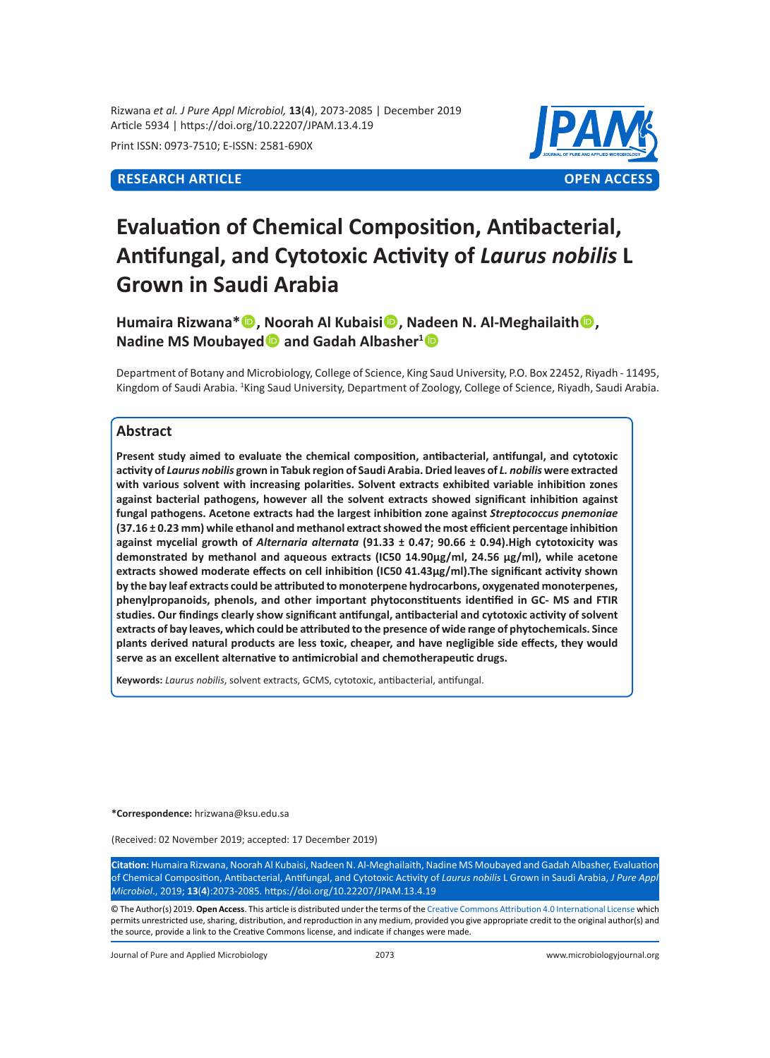Rizwana *et al. J Pure Appl Microbiol,* **13**(**4**), 2073-2085 | December 2019 Article 5934 | https://doi.org/10.22207/JPAM.13.4.19

Print ISSN: 0973-7510; E-ISSN: 2581-690X



# **Evaluation of Chemical Composition, Antibacterial, Antifungal, and Cytotoxic Activity of** *Laurus nobilis* **L Grown in Saudi Arabia**

**Humaira Rizwana\*, Noorah Al Kubaisi, Nadeen N. Al-Meghailaith, Nadine MS Moubayed and Gadah Albasher<sup>1</sup>**

Department of Botany and Microbiology, College of Science, King Saud University, P.O. Box 22452, Riyadh - 11495, Kingdom of Saudi Arabia. <sup>1</sup>King Saud University, Department of Zoology, College of Science, Riyadh, Saudi Arabia.

# **Abstract**

**Present study aimed to evaluate the chemical composition, antibacterial, antifungal, and cytotoxic activity of** *Laurus nobilis* **grown in Tabuk region of Saudi Arabia. Dried leaves of** *L. nobilis* **were extracted with various solvent with increasing polarities. Solvent extracts exhibited variable inhibition zones against bacterial pathogens, however all the solvent extracts showed significant inhibition against fungal pathogens. Acetone extracts had the largest inhibition zone against** *Streptococcus pnemoniae* **(37.16 ± 0.23 mm) while ethanol and methanol extract showed the most efficient percentage inhibition against mycelial growth of** *Alternaria alternata* **(91.33 ± 0.47; 90.66 ± 0.94).High cytotoxicity was demonstrated by methanol and aqueous extracts (IC50 14.90µg/ml, 24.56 µg/ml), while acetone extracts showed moderate effects on cell inhibition (IC50 41.43µg/ml).The significant activity shown by the bay leaf extracts could be attributed to monoterpene hydrocarbons, oxygenated monoterpenes, phenylpropanoids, phenols, and other important phytoconstituents identified in GC- MS and FTIR studies. Our findings clearly show significant antifungal, antibacterial and cytotoxic activity of solvent extracts of bay leaves, which could be attributed to the presence of wide range of phytochemicals. Since plants derived natural products are less toxic, cheaper, and have negligible side effects, they would serve as an excellent alternative to antimicrobial and chemotherapeutic drugs.**

**Keywords:** *Laurus nobilis*, solvent extracts, GCMS, cytotoxic, antibacterial, antifungal.

**\*Correspondence:** hrizwana@ksu.edu.sa

(Received: 02 November 2019; accepted: 17 December 2019)

**Citation:** Humaira Rizwana, Noorah Al Kubaisi, Nadeen N. Al-Meghailaith, Nadine MS Moubayed and Gadah Albasher, Evaluation of Chemical Composition, Antibacterial, Antifungal, and Cytotoxic Activity of *Laurus nobilis* L Grown in Saudi Arabia, *J Pure Appl Microbiol*., 2019; **13**(**4**):2073-2085. https://doi.org/10.22207/JPAM.13.4.19

© The Author(s) 2019. **Open Access**. This article is distributed under the terms of the [Creative Commons Attribution 4.0 International License](https://creativecommons.org/licenses/by/4.0/) which permits unrestricted use, sharing, distribution, and reproduction in any medium, provided you give appropriate credit to the original author(s) and the source, provide a link to the Creative Commons license, and indicate if changes were made.

Journal of Pure and Applied Microbiology 2073 www.microbiologyjournal.org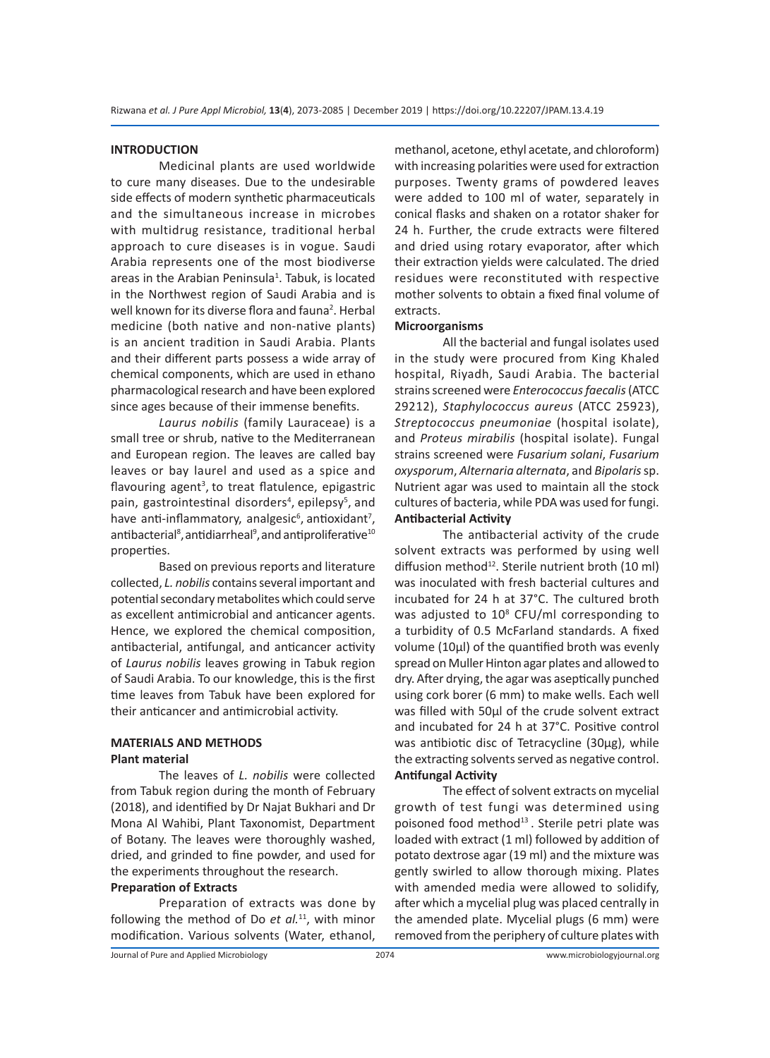# **INTRODUCTION**

Medicinal plants are used worldwide to cure many diseases. Due to the undesirable side effects of modern synthetic pharmaceuticals and the simultaneous increase in microbes with multidrug resistance, traditional herbal approach to cure diseases is in vogue. Saudi Arabia represents one of the most biodiverse areas in the Arabian Peninsula<sup>1</sup>. Tabuk, is located in the Northwest region of Saudi Arabia and is well known for its diverse flora and fauna<sup>2</sup>. Herbal medicine (both native and non-native plants) is an ancient tradition in Saudi Arabia. Plants and their different parts possess a wide array of chemical components, which are used in ethano pharmacological research and have been explored since ages because of their immense benefits.

*Laurus nobilis* (family Lauraceae) is a small tree or shrub, native to the Mediterranean and European region. The leaves are called bay leaves or bay laurel and used as a spice and flavouring agent<sup>3</sup>, to treat flatulence, epigastric pain, gastrointestinal disorders<sup>4</sup>, epilepsy<sup>5</sup>, and have anti-inflammatory, analgesic<sup>6</sup>, antioxidant<sup>7</sup>, antibacterial<sup>8</sup>, antidiarrheal<sup>9</sup>, and antiproliferative<sup>10</sup> properties.

Based on previous reports and literature collected, *L. nobilis* contains several important and potential secondary metabolites which could serve as excellent antimicrobial and anticancer agents. Hence, we explored the chemical composition, antibacterial, antifungal, and anticancer activity of *Laurus nobilis* leaves growing in Tabuk region of Saudi Arabia. To our knowledge, this is the first time leaves from Tabuk have been explored for their anticancer and antimicrobial activity.

### **MATERIALS AND METHODS Plant material**

The leaves of *L. nobilis* were collected from Tabuk region during the month of February (2018), and identified by Dr Najat Bukhari and Dr Mona Al Wahibi, Plant Taxonomist, Department of Botany. The leaves were thoroughly washed, dried, and grinded to fine powder, and used for the experiments throughout the research.

### **Preparation of Extracts**

Preparation of extracts was done by following the method of Do *et al.*<sup>11</sup>, with minor modification. Various solvents (Water, ethanol, methanol, acetone, ethyl acetate, and chloroform) with increasing polarities were used for extraction purposes. Twenty grams of powdered leaves were added to 100 ml of water, separately in conical flasks and shaken on a rotator shaker for 24 h. Further, the crude extracts were filtered and dried using rotary evaporator, after which their extraction yields were calculated. The dried residues were reconstituted with respective mother solvents to obtain a fixed final volume of extracts.

#### **Microorganisms**

All the bacterial and fungal isolates used in the study were procured from King Khaled hospital, Riyadh, Saudi Arabia. The bacterial strains screened were *Enterococcus faecalis* (ATCC 29212), *Staphylococcus aureus* (ATCC 25923), *Streptococcus pneumoniae* (hospital isolate), and *Proteus mirabilis* (hospital isolate). Fungal strains screened were *Fusarium solani*, *Fusarium oxysporum*, *Alternaria alternata*, and *Bipolaris* sp. Nutrient agar was used to maintain all the stock cultures of bacteria, while PDA was used for fungi. **Antibacterial Activity**

The antibacterial activity of the crude solvent extracts was performed by using well diffusion method<sup>12</sup>. Sterile nutrient broth (10 ml) was inoculated with fresh bacterial cultures and incubated for 24 h at 37°C. The cultured broth was adjusted to 10<sup>8</sup> CFU/ml corresponding to a turbidity of 0.5 McFarland standards. A fixed volume (10µl) of the quantified broth was evenly spread on Muller Hinton agar plates and allowed to dry. After drying, the agar was aseptically punched using cork borer (6 mm) to make wells. Each well was filled with 50µl of the crude solvent extract and incubated for 24 h at 37°C. Positive control was antibiotic disc of Tetracycline (30µg), while the extracting solvents served as negative control. **Antifungal Activity**

The effect of solvent extracts on mycelial growth of test fungi was determined using poisoned food method<sup>13</sup>. Sterile petri plate was loaded with extract (1 ml) followed by addition of potato dextrose agar (19 ml) and the mixture was gently swirled to allow thorough mixing. Plates with amended media were allowed to solidify, after which a mycelial plug was placed centrally in the amended plate. Mycelial plugs (6 mm) were removed from the periphery of culture plates with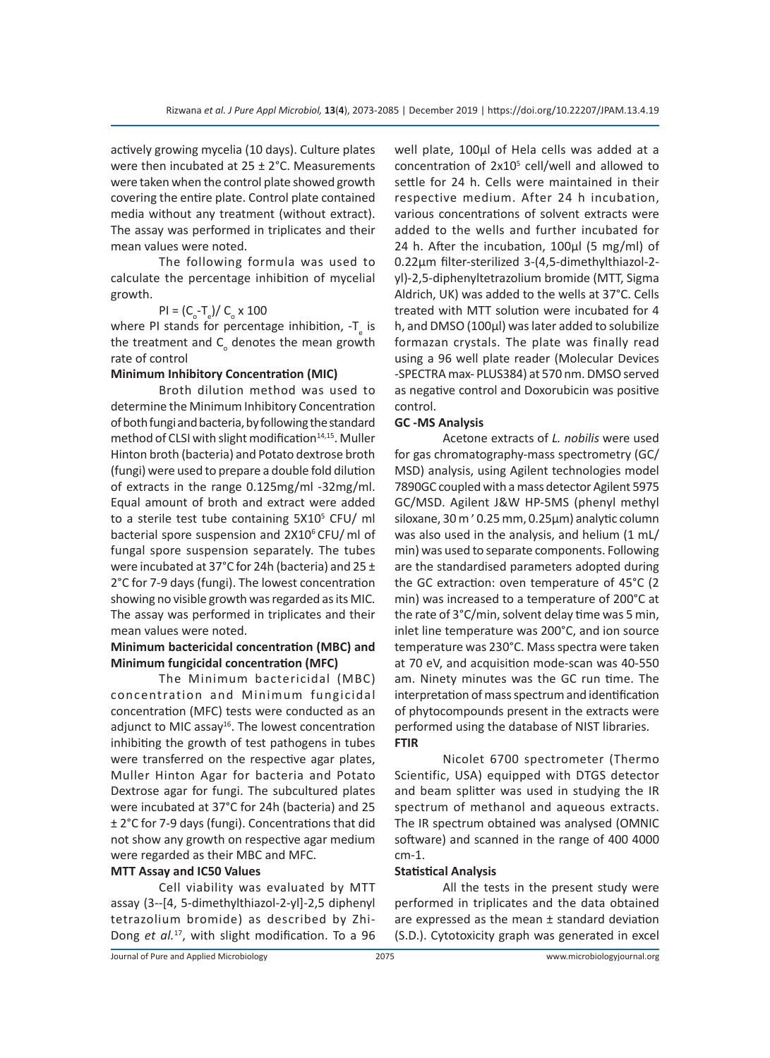actively growing mycelia (10 days). Culture plates were then incubated at  $25 \pm 2^{\circ}$ C. Measurements were taken when the control plate showed growth covering the entire plate. Control plate contained media without any treatment (without extract). The assay was performed in triplicates and their mean values were noted.

The following formula was used to calculate the percentage inhibition of mycelial growth.

# $PI = (C_o - T_e)/C_o \times 100$

where PI stands for percentage inhibition, -T<sub>e</sub> is the treatment and C<sub>o</sub> denotes the mean growth rate of control

# **Minimum Inhibitory Concentration (MIC)**

Broth dilution method was used to determine the Minimum Inhibitory Concentration of both fungi and bacteria, by following the standard method of CLSI with slight modification<sup>14,15</sup>. Muller Hinton broth (bacteria) and Potato dextrose broth (fungi) were used to prepare a double fold dilution of extracts in the range 0.125mg/ml -32mg/ml. Equal amount of broth and extract were added to a sterile test tube containing 5X10<sup>5</sup> CFU/ ml bacterial spore suspension and 2X10<sup>6</sup> CFU/ ml of fungal spore suspension separately. The tubes were incubated at 37°C for 24h (bacteria) and 25 ± 2°C for 7-9 days (fungi). The lowest concentration showing no visible growth was regarded as its MIC. The assay was performed in triplicates and their mean values were noted.

# **Minimum bactericidal concentration (MBC) and Minimum fungicidal concentration (MFC)**

The Minimum bactericidal (MBC) concentration and Minimum fungicidal concentration (MFC) tests were conducted as an adjunct to MIC assay $^{16}$ . The lowest concentration inhibiting the growth of test pathogens in tubes were transferred on the respective agar plates, Muller Hinton Agar for bacteria and Potato Dextrose agar for fungi. The subcultured plates were incubated at 37°C for 24h (bacteria) and 25 ± 2°C for 7-9 days (fungi). Concentrations that did not show any growth on respective agar medium were regarded as their MBC and MFC.

### **MTT Assay and IC50 Values**

Cell viability was evaluated by MTT assay (3--[4, 5-dimethylthiazol-2-yl]-2,5 diphenyl tetrazolium bromide) as described by Zhi-Dong *et al.*<sup>17</sup>, with slight modification. To a 96 well plate, 100µl of Hela cells was added at a  $concentration of 2x10<sup>5</sup>$  cell/well and allowed to settle for 24 h. Cells were maintained in their respective medium. After 24 h incubation, various concentrations of solvent extracts were added to the wells and further incubated for 24 h. After the incubation, 100µl (5 mg/ml) of 0.22µm filter-sterilized 3-(4,5-dimethylthiazol-2 yl)-2,5-diphenyltetrazolium bromide (MTT, Sigma Aldrich, UK) was added to the wells at 37°C. Cells treated with MTT solution were incubated for 4 h, and DMSO (100µl) was later added to solubilize formazan crystals. The plate was finally read using a 96 well plate reader (Molecular Devices -SPECTRA max- PLUS384) at 570 nm. DMSO served as negative control and Doxorubicin was positive control.

# **GC -MS Analysis**

Acetone extracts of *L. nobilis* were used for gas chromatography-mass spectrometry (GC/ MSD) analysis, using Agilent technologies model 7890GC coupled with a mass detector Agilent 5975 GC/MSD. Agilent J&W HP-5MS (phenyl methyl siloxane, 30 m ׳ 0.25 mm, 0.25µm) analytic column was also used in the analysis, and helium (1 mL/ min) was used to separate components. Following are the standardised parameters adopted during the GC extraction: oven temperature of 45°C (2 min) was increased to a temperature of 200°C at the rate of 3°C/min, solvent delay time was 5 min, inlet line temperature was 200°C, and ion source temperature was 230°C. Mass spectra were taken at 70 eV, and acquisition mode-scan was 40-550 am. Ninety minutes was the GC run time. The interpretation of mass spectrum and identification of phytocompounds present in the extracts were performed using the database of NIST libraries. **FTIR** 

Nicolet 6700 spectrometer (Thermo Scientific, USA) equipped with DTGS detector and beam splitter was used in studying the IR spectrum of methanol and aqueous extracts. The IR spectrum obtained was analysed (OMNIC software) and scanned in the range of 400 4000 cm-1.

#### **Statistical Analysis**

All the tests in the present study were performed in triplicates and the data obtained are expressed as the mean ± standard deviation (S.D.). Cytotoxicity graph was generated in excel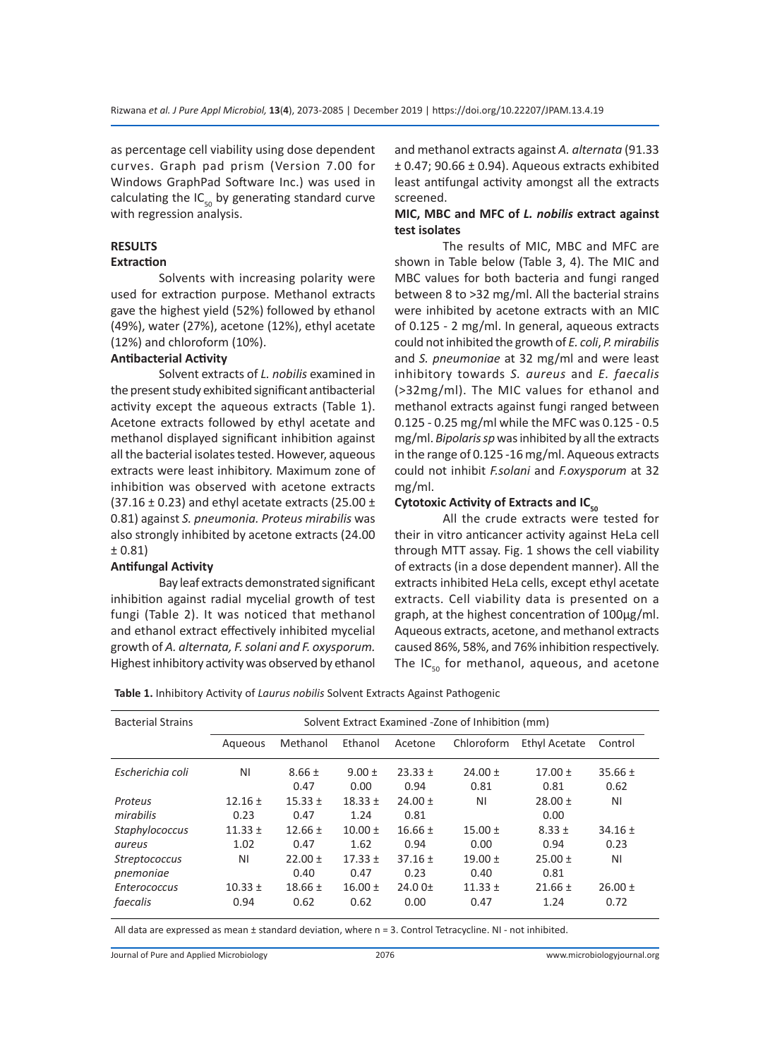as percentage cell viability using dose dependent curves. Graph pad prism (Version 7.00 for Windows GraphPad Software Inc.) was used in calculating the  $IC_{50}$  by generating standard curve with regression analysis.

# **RESULTS**

# **Extraction**

Solvents with increasing polarity were used for extraction purpose. Methanol extracts gave the highest yield (52%) followed by ethanol (49%), water (27%), acetone (12%), ethyl acetate (12%) and chloroform (10%).

# **Antibacterial Activity**

Solvent extracts of *L. nobilis* examined in the present study exhibited significant antibacterial activity except the aqueous extracts (Table 1). Acetone extracts followed by ethyl acetate and methanol displayed significant inhibition against all the bacterial isolates tested. However, aqueous extracts were least inhibitory. Maximum zone of inhibition was observed with acetone extracts (37.16  $\pm$  0.23) and ethyl acetate extracts (25.00  $\pm$ 0.81) against *S. pneumonia. Proteus mirabilis* was also strongly inhibited by acetone extracts (24.00 ± 0.81)

# **Antifungal Activity**

Bay leaf extracts demonstrated significant inhibition against radial mycelial growth of test fungi (Table 2). It was noticed that methanol and ethanol extract effectively inhibited mycelial growth of *A. alternata, F. solani and F. oxysporum.*  Highest inhibitory activity was observed by ethanol and methanol extracts against *A. alternata* (91.33 ± 0.47; 90.66 ± 0.94). Aqueous extracts exhibited least antifungal activity amongst all the extracts screened.

# **MIC, MBC and MFC of** *L. nobilis* **extract against test isolates**

The results of MIC, MBC and MFC are shown in Table below (Table 3, 4). The MIC and MBC values for both bacteria and fungi ranged between 8 to >32 mg/ml. All the bacterial strains were inhibited by acetone extracts with an MIC of 0.125 - 2 mg/ml. In general, aqueous extracts could not inhibited the growth of *E. coli*, *P. mirabilis* and *S. pneumoniae* at 32 mg/ml and were least inhibitory towards *S. aureus* and *E. faecalis*  (>32mg/ml). The MIC values for ethanol and methanol extracts against fungi ranged between 0.125 - 0.25 mg/ml while the MFC was 0.125 - 0.5 mg/ml. *Bipolaris sp* was inhibited by all the extracts in the range of 0.125 -16 mg/ml. Aqueous extracts could not inhibit *F.solani* and *F.oxysporum* at 32 mg/ml.

#### Cytotoxic Activity of Extracts and IC<sub>50</sub>

All the crude extracts were tested for their in vitro anticancer activity against HeLa cell through MTT assay. Fig. 1 shows the cell viability of extracts (in a dose dependent manner). All the extracts inhibited HeLa cells, except ethyl acetate extracts. Cell viability data is presented on a graph, at the highest concentration of 100µg/ml. Aqueous extracts, acetone, and methanol extracts caused 86%, 58%, and 76% inhibition respectively. The  $IC_{50}$  for methanol, aqueous, and acetone

**Table 1.** Inhibitory Activity of *Laurus nobilis* Solvent Extracts Against Pathogenic

| <b>Bacterial Strains</b> | Solvent Extract Examined -Zone of Inhibition (mm) |             |             |             |             |               |             |
|--------------------------|---------------------------------------------------|-------------|-------------|-------------|-------------|---------------|-------------|
|                          | Aqueous                                           | Methanol    | Ethanol     | Acetone     | Chloroform  | Ethyl Acetate | Control     |
| Escherichia coli         | ΝI                                                | $8.66 \pm$  | $9.00 \pm$  | $23.33 \pm$ | $24.00 \pm$ | $17.00 \pm$   | $35.66 \pm$ |
|                          |                                                   | 0.47        | 0.00        | 0.94        | 0.81        | 0.81          | 0.62        |
| Proteus                  | $12.16 \pm$                                       | $15.33 \pm$ | $18.33 \pm$ | $24.00 \pm$ | ΝI          | $28.00 \pm$   | ΝI          |
| mirabilis                | 0.23                                              | 0.47        | 1.24        | 0.81        |             | 0.00          |             |
| Staphylococcus           | $11.33 \pm$                                       | $12.66 \pm$ | $10.00 \pm$ | $16.66 \pm$ | $15.00 \pm$ | $8.33 \pm$    | $34.16 \pm$ |
| aureus                   | 1.02                                              | 0.47        | 1.62        | 0.94        | 0.00        | 0.94          | 0.23        |
| Streptococcus            | ΝI                                                | $22.00 \pm$ | $17.33 \pm$ | $37.16 \pm$ | $19.00 \pm$ | $25.00 \pm$   | ΝI          |
| pnemoniae                |                                                   | 0.40        | 0.47        | 0.23        | 0.40        | 0.81          |             |
| Enterococcus             | $10.33 \pm$                                       | $18.66 \pm$ | $16.00 \pm$ | $24.00 \pm$ | $11.33 \pm$ | $21.66 \pm$   | $26.00 \pm$ |
| faecalis                 | 0.94                                              | 0.62        | 0.62        | 0.00        | 0.47        | 1.24          | 0.72        |

All data are expressed as mean ± standard deviation, where n = 3. Control Tetracycline. NI - not inhibited.

Journal of Pure and Applied Microbiology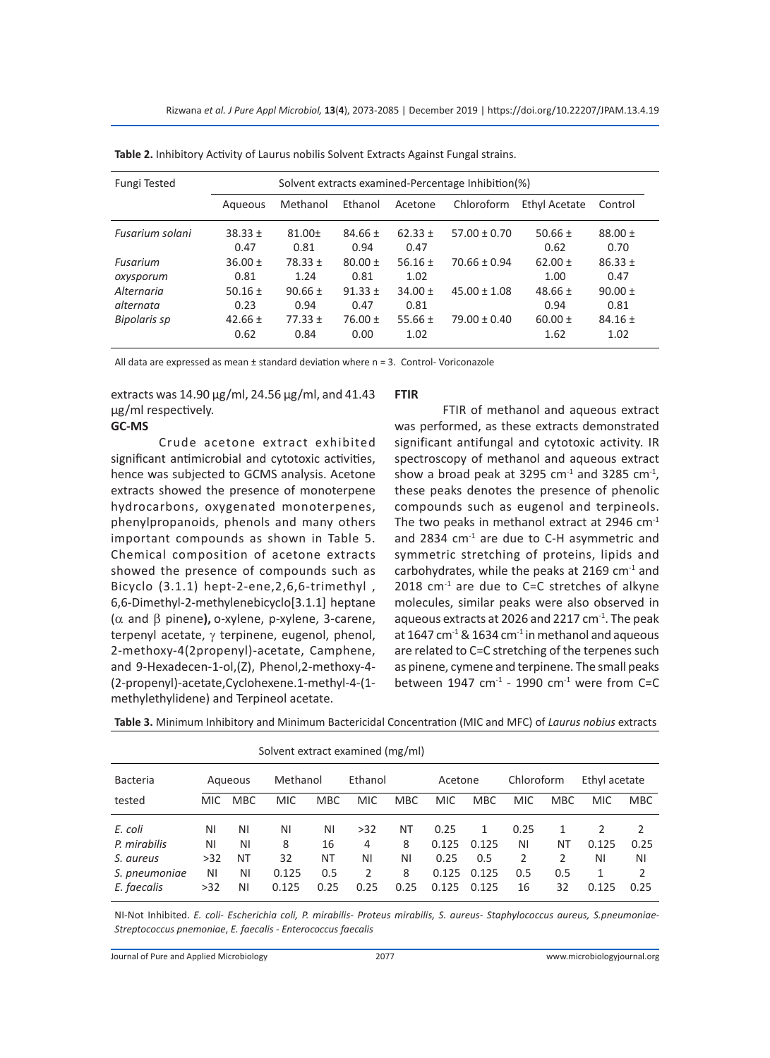| Fungi Tested                            | Solvent extracts examined-Percentage Inhibition(%) |                                    |                                    |                                    |                                      |                                    |                                    |
|-----------------------------------------|----------------------------------------------------|------------------------------------|------------------------------------|------------------------------------|--------------------------------------|------------------------------------|------------------------------------|
|                                         | Agueous                                            | Methanol                           | Ethanol                            | Acetone                            | Chloroform                           | Ethyl Acetate                      | Control                            |
| Fusarium solani                         | $38.33 \pm$<br>0.47                                | $81.00+$<br>0.81                   | $84.66 \pm$<br>0.94                | $62.33 \pm$<br>0.47                | $57.00 \pm 0.70$                     | 50.66 $\pm$<br>0.62                | $88.00 \pm$<br>0.70                |
| Fusarium<br>oxysporum                   | $36.00 \pm$<br>0.81                                | $78.33 \pm$<br>1.24                | $80.00 \pm$<br>0.81                | 56.16 $\pm$<br>1.02                | $70.66 \pm 0.94$                     | $62.00 \pm$<br>1.00                | $86.33 \pm$<br>0.47                |
| Alternaria<br>alternata<br>Bipolaris sp | 50.16 $\pm$<br>0.23<br>$42.66 \pm$                 | $90.66 \pm$<br>0.94<br>$77.33 \pm$ | $91.33 \pm$<br>0.47<br>$76.00 \pm$ | $34.00 \pm$<br>0.81<br>55.66 $\pm$ | $45.00 \pm 1.08$<br>$79.00 \pm 0.40$ | 48.66 $\pm$<br>0.94<br>$60.00 \pm$ | $90.00 \pm$<br>0.81<br>$84.16 \pm$ |
|                                         | 0.62                                               | 0.84                               | 0.00                               | 1.02                               |                                      | 1.62                               | 1.02                               |

**Table 2.** Inhibitory Activity of Laurus nobilis Solvent Extracts Against Fungal strains.

All data are expressed as mean ± standard deviation where n = 3. Control- Voriconazole

extracts was 14.90 µg/ml, 24.56 µg/ml, and 41.43 µg/ml respectively.

#### **GC-MS**

Crude acetone extract exhibited significant antimicrobial and cytotoxic activities, hence was subjected to GCMS analysis. Acetone extracts showed the presence of monoterpene hydrocarbons, oxygenated monoterpenes, phenylpropanoids, phenols and many others important compounds as shown in Table 5. Chemical composition of acetone extracts showed the presence of compounds such as Bicyclo (3.1.1) hept-2-ene,2,6,6-trimethyl , 6,6-Dimethyl-2-methylenebicyclo[3.1.1] heptane (α and β pinene**),** o-xylene, p-xylene, 3-carene, terpenyl acetate, γ terpinene, eugenol, phenol, 2-methoxy-4(2propenyl)-acetate, Camphene, and 9-Hexadecen-1-ol,(Z), Phenol,2-methoxy-4- (2-propenyl)-acetate,Cyclohexene.1-methyl-4-(1 methylethylidene) and Terpineol acetate.

#### **FTIR**

FTIR of methanol and aqueous extract was performed, as these extracts demonstrated significant antifungal and cytotoxic activity. IR spectroscopy of methanol and aqueous extract show a broad peak at 3295 cm $^{-1}$  and 3285 cm $^{-1}$ , these peaks denotes the presence of phenolic compounds such as eugenol and terpineols. The two peaks in methanol extract at 2946 cm<sup>-1</sup> and 2834 cm<sup>-1</sup> are due to C-H asymmetric and symmetric stretching of proteins, lipids and carbohydrates, while the peaks at 2169  $cm<sup>-1</sup>$  and 2018 cm<sup>-1</sup> are due to C=C stretches of alkyne molecules, similar peaks were also observed in aqueous extracts at 2026 and 2217 cm<sup>-1</sup>. The peak at 1647 cm $^{-1}$  & 1634 cm $^{-1}$  in methanol and aqueous are related to C=C stretching of the terpenes such as pinene, cymene and terpinene. The small peaks between  $1947 \text{ cm}^{-1}$  - 1990 cm<sup>-1</sup> were from C=C

| Solvent extract examined (mg/ml) |            |            |            |            |            |            |            |            |            |               |               |               |
|----------------------------------|------------|------------|------------|------------|------------|------------|------------|------------|------------|---------------|---------------|---------------|
| <b>Bacteria</b>                  |            | Agueous    | Methanol   |            | Ethanol    |            | Acetone    |            | Chloroform |               | Ethyl acetate |               |
| tested                           | <b>MIC</b> | <b>MBC</b> | <b>MIC</b> | <b>MBC</b> | <b>MIC</b> | <b>MBC</b> | <b>MIC</b> | <b>MBC</b> | <b>MIC</b> | <b>MBC</b>    | <b>MIC</b>    | MBC           |
| E. coli                          | ΝI         | ΝI         | ΝI         | ΝI         | >32        | ΝT         | 0.25       | 1          | 0.25       |               |               | $\mathcal{L}$ |
| P. mirabilis                     | ΝI         | ΝI         | 8          | 16         | 4          | 8          | 0.125      | 0.125      | ΝI         | ΝT            | 0.125         | 0.25          |
| S. aureus                        | >32        | NT         | 32         | NT         | ΝI         | ΝI         | 0.25       | 0.5        | 2          | $\mathcal{P}$ | ΝI            | ΝI            |
| S. pneumoniae                    | ΝI         | ΝI         | 0.125      | 0.5        | 2          | 8          | 0.125      | 0.125      | 0.5        | 0.5           | 1             | <sup>2</sup>  |
| E. faecalis                      | >32        | ΝI         | 0.125      | 0.25       | 0.25       | 0.25       | 0.125      | 0.125      | 16         | 32            | 0.125         | 0.25          |

**Table 3.** Minimum Inhibitory and Minimum Bactericidal Concentration (MIC and MFC) of *Laurus nobius* extracts

NI-Not Inhibited. *E. coli- Escherichia coli, P. mirabilis- Proteus mirabilis, S. aureus- Staphylococcus aureus, S.pneumoniae-Streptococcus pnemoniae*, *E. faecalis - Enterococcus faecalis*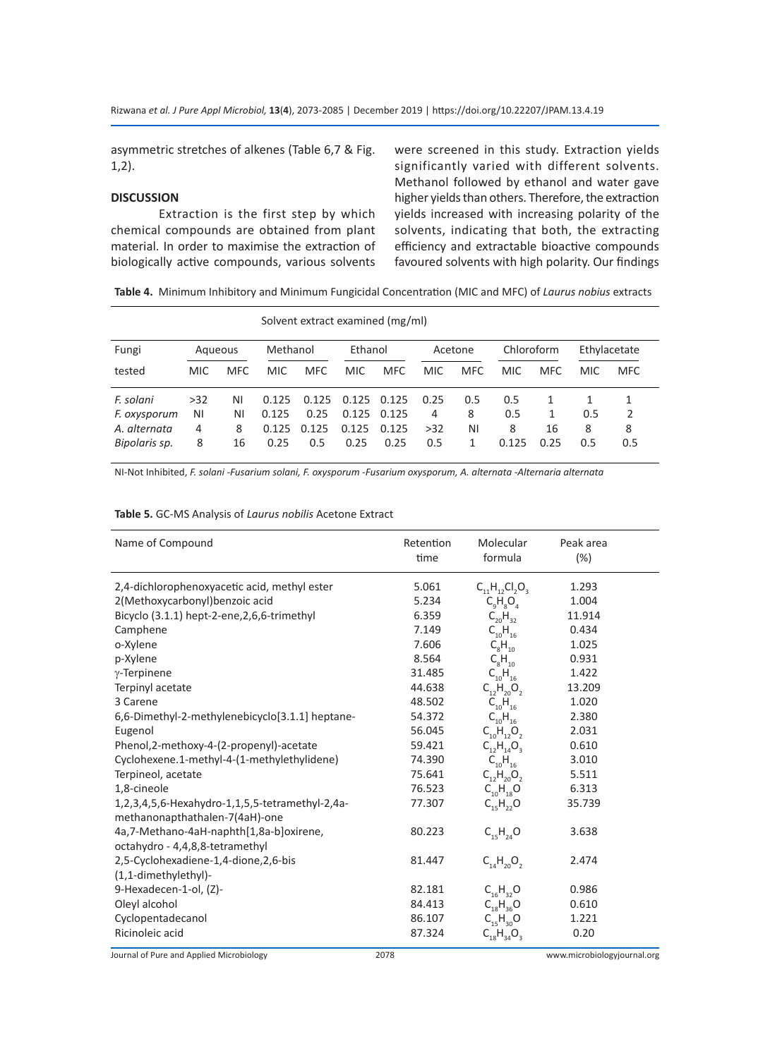asymmetric stretches of alkenes (Table 6,7 & Fig. 1,2).

# **DISCUSSION**

Extraction is the first step by which chemical compounds are obtained from plant material. In order to maximise the extraction of biologically active compounds, various solvents were screened in this study. Extraction yields significantly varied with different solvents. Methanol followed by ethanol and water gave higher yields than others. Therefore, the extraction yields increased with increasing polarity of the solvents, indicating that both, the extracting efficiency and extractable bioactive compounds favoured solvents with high polarity. Our findings

**Table 4.** Minimum Inhibitory and Minimum Fungicidal Concentration (MIC and MFC) of *Laurus nobius* extracts

| Solvent extract examined (mg/ml) |            |            |            |       |            |       |            |            |            |            |            |              |
|----------------------------------|------------|------------|------------|-------|------------|-------|------------|------------|------------|------------|------------|--------------|
| Fungi                            | Aqueous    |            | Methanol   |       | Ethanol    |       |            | Acetone    | Chloroform |            |            | Ethylacetate |
| tested                           | <b>MIC</b> | <b>MFC</b> | <b>MIC</b> | MFC.  | <b>MIC</b> | MFC.  | <b>MIC</b> | <b>MFC</b> | <b>MIC</b> | <b>MFC</b> | <b>MIC</b> | MFC.         |
| F. solani                        | >32        | ΝI         | 0.125      | 0.125 | 0.125      | 0.125 | 0.25       | 0.5        | 0.5        |            |            |              |
| F. oxysporum                     | ΝI         | ΝI         | 0.125      | 0.25  | 0.125      | 0.125 | 4          | 8          | 0.5        | 1          | 0.5        | 2            |
| A. alternata                     | 4          | 8          | 0.125      | 0.125 | 0.125      | 0.125 | >32        | ΝI         | 8          | 16         | 8          | 8            |
| Bipolaris sp.                    | 8          | 16         | 0.25       | 0.5   | 0.25       | 0.25  | 0.5        |            | 0.125      | 0.25       | 0.5        | 0.5          |

NI-Not Inhibited, *F. solani -Fusarium solani, F. oxysporum -Fusarium oxysporum, A. alternata -Alternaria alternata*

#### **Table 5.** GC-MS Analysis of *Laurus nobilis* Acetone Extract

| Name of Compound                                | Retention<br>time | Molecular<br>formula                   | Peak area<br>(% ) |
|-------------------------------------------------|-------------------|----------------------------------------|-------------------|
| 2,4-dichlorophenoxyacetic acid, methyl ester    | 5.061             | $C_{11}H_{12}Cl_{2}O_{3}$              | 1.293             |
| 2(Methoxycarbonyl)benzoic acid                  | 5.234             | $C_qH_8O_4$                            | 1.004             |
| Bicyclo (3.1.1) hept-2-ene, 2, 6, 6-trimethyl   | 6.359             | $C_{20}H_{32}$                         | 11.914            |
| Camphene                                        | 7.149             | $C_{10}H_{16}$                         | 0.434             |
| o-Xylene                                        | 7.606             | $C_{8}H_{10}$                          | 1.025             |
| p-Xylene                                        | 8.564             | $\mathsf{C}_8\mathsf{H}_{\mathsf{10}}$ | 0.931             |
| $\gamma$ -Terpinene                             | 31.485            | $C_{10}H_{16}$                         | 1.422             |
| Terpinyl acetate                                | 44.638            | $C_{12}H_{20}O_2$                      | 13.209            |
| 3 Carene                                        | 48.502            | $C_{10}H_{16}$                         | 1.020             |
| 6,6-Dimethyl-2-methylenebicyclo[3.1.1] heptane- | 54.372            | $C_{10}H_{16}$                         | 2.380             |
| Eugenol                                         | 56.045            | $C_{10}H_{12}O_2$                      | 2.031             |
| Phenol, 2-methoxy-4-(2-propenyl)-acetate        | 59.421            | $C_{12}H_{14}O_3$                      | 0.610             |
| Cyclohexene.1-methyl-4-(1-methylethylidene)     | 74.390            | $C_{10}H_{16}$                         | 3.010             |
| Terpineol, acetate                              | 75.641            | $C_{12}H_{20}O_{2}$                    | 5.511             |
| 1,8-cineole                                     | 76.523            | $C_{10}H_{18}O$                        | 6.313             |
| 1,2,3,4,5,6-Hexahydro-1,1,5,5-tetramethyl-2,4a- | 77.307            | $C_{15}H_{22}O$                        | 35.739            |
| methanonapthathalen-7(4aH)-one                  |                   |                                        |                   |
| 4a,7-Methano-4aH-naphth[1,8a-b]oxirene,         | 80.223            | $C_{15}H_{24}O$                        | 3.638             |
| octahydro - 4,4,8,8-tetramethyl                 |                   |                                        |                   |
| 2,5-Cyclohexadiene-1,4-dione,2,6-bis            | 81.447            | $C_{14}H_{20}O_{2}$                    | 2.474             |
| (1,1-dimethylethyl)-                            |                   |                                        |                   |
| 9-Hexadecen-1-ol, (Z)-                          | 82.181            | $C_{16}H_{32}O$                        | 0.986             |
| Oleyl alcohol                                   | 84.413            | $C_{18}H_{36}O$                        | 0.610             |
| Cyclopentadecanol                               | 86.107            | $C_{15}H_{30}O$                        | 1.221             |
| Ricinoleic acid                                 | 87.324            | $C_{18}H_{34}O_3$                      | 0.20              |

Journal of Pure and Applied Microbiology

2078 www.microbiologyjournal.org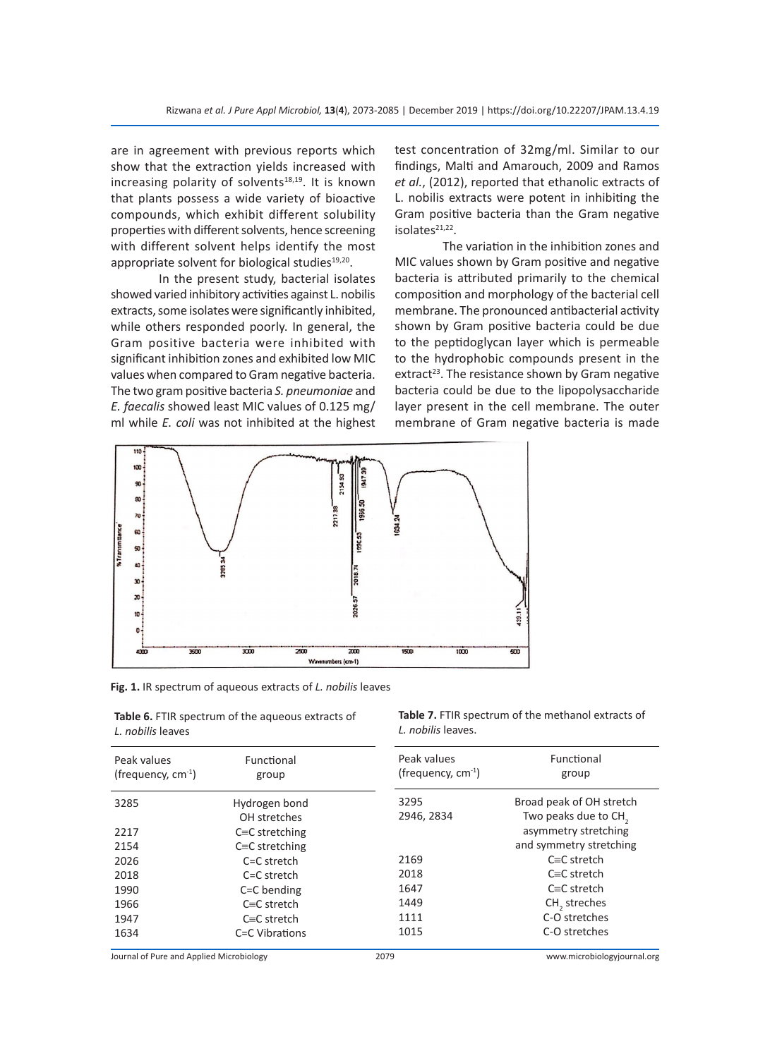are in agreement with previous reports which show that the extraction yields increased with increasing polarity of solvents $18,19$ . It is known that plants possess a wide variety of bioactive compounds, which exhibit different solubility properties with different solvents, hence screening with different solvent helps identify the most appropriate solvent for biological studies $19,20$ .

In the present study, bacterial isolates showed varied inhibitory activities against L. nobilis extracts, some isolates were significantly inhibited, while others responded poorly. In general, the Gram positive bacteria were inhibited with significant inhibition zones and exhibited low MIC values when compared to Gram negative bacteria. The two gram positive bacteria *S. pneumoniae* and *E. faecalis* showed least MIC values of 0.125 mg/ ml while *E. coli* was not inhibited at the highest test concentration of 32mg/ml. Similar to our findings, Malti and Amarouch, 2009 and Ramos *et al.*, (2012), reported that ethanolic extracts of L. nobilis extracts were potent in inhibiting the Gram positive bacteria than the Gram negative isolates $21,22$ .

The variation in the inhibition zones and MIC values shown by Gram positive and negative bacteria is attributed primarily to the chemical composition and morphology of the bacterial cell membrane. The pronounced antibacterial activity shown by Gram positive bacteria could be due to the peptidoglycan layer which is permeable to the hydrophobic compounds present in the extract<sup>23</sup>. The resistance shown by Gram negative bacteria could be due to the lipopolysaccharide layer present in the cell membrane. The outer membrane of Gram negative bacteria is made



**Fig. 1.** IR spectrum of aqueous extracts of *L. nobilis* leaves

| Table 6. FTIR spectrum of the aqueous extracts of |  |  |
|---------------------------------------------------|--|--|
| L. nobilis leaves                                 |  |  |

|                    | <b>Table 7.</b> FTIR spectrum of the methanol extracts of |
|--------------------|-----------------------------------------------------------|
| L. nobilis leaves. |                                                           |

| Peak values<br>(frequency, $cm^{-1}$ ) | Functional<br>group | Peak values<br>(frequency, $cm^{-1}$ ) | Functional<br>group              |
|----------------------------------------|---------------------|----------------------------------------|----------------------------------|
| 3285                                   | Hydrogen bond       | 3295                                   | Broad peak of OH stretch         |
|                                        | OH stretches        | 2946, 2834                             | Two peaks due to CH <sub>2</sub> |
| 2217                                   | $C=C$ stretching    |                                        | asymmetry stretching             |
| 2154                                   | $C=C$ stretching    |                                        | and symmetry stretching          |
| 2026                                   | $C=C$ stretch       | 2169                                   | $C\equiv C$ stretch              |
| 2018                                   | $C=C$ stretch       | 2018                                   | $C\equiv C$ stretch              |
| 1990                                   | C=C bending         | 1647                                   | $C\equiv C$ stretch              |
| 1966                                   | $C = C$ stretch     | 1449                                   | CH <sub>2</sub> streches         |
| 1947                                   | $C = C$ stretch     | 1111                                   | C-O stretches                    |
| 1634                                   | C=C Vibrations      | 1015                                   | C-O stretches                    |

Journal of Pure and Applied Microbiology 2079 www.microbiologyjournal.org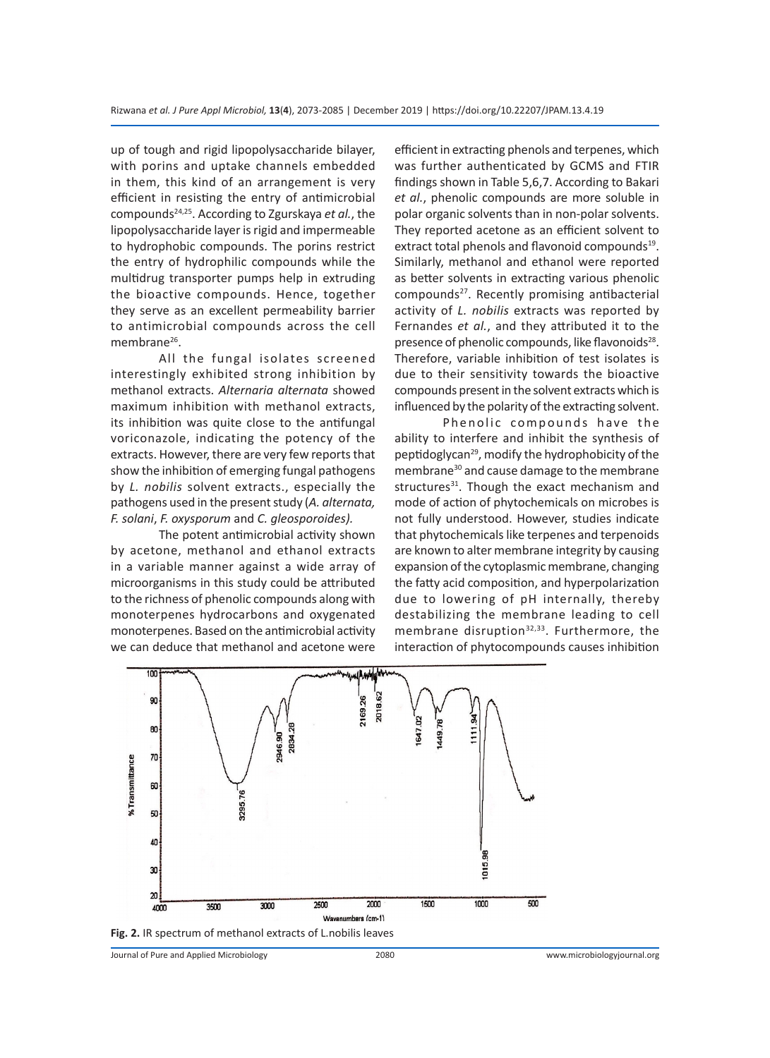up of tough and rigid lipopolysaccharide bilayer, with porins and uptake channels embedded in them, this kind of an arrangement is very efficient in resisting the entry of antimicrobial compounds24,25. According to Zgurskaya *et al.*, the lipopolysaccharide layer is rigid and impermeable to hydrophobic compounds. The porins restrict the entry of hydrophilic compounds while the multidrug transporter pumps help in extruding the bioactive compounds. Hence, together they serve as an excellent permeability barrier to antimicrobial compounds across the cell membrane<sup>26</sup>.

All the fungal isolates screened interestingly exhibited strong inhibition by methanol extracts. *Alternaria alternata* showed maximum inhibition with methanol extracts, its inhibition was quite close to the antifungal voriconazole, indicating the potency of the extracts. However, there are very few reports that show the inhibition of emerging fungal pathogens by *L. nobilis* solvent extracts., especially the pathogens used in the present study (*A. alternata, F. solani*, *F. oxysporum* and *C. gleosporoides).*

The potent antimicrobial activity shown by acetone, methanol and ethanol extracts in a variable manner against a wide array of microorganisms in this study could be attributed to the richness of phenolic compounds along with monoterpenes hydrocarbons and oxygenated monoterpenes. Based on the antimicrobial activity we can deduce that methanol and acetone were efficient in extracting phenols and terpenes, which was further authenticated by GCMS and FTIR findings shown in Table 5,6,7. According to Bakari *et al.*, phenolic compounds are more soluble in polar organic solvents than in non-polar solvents. They reported acetone as an efficient solvent to extract total phenols and flavonoid compounds<sup>19</sup>. Similarly, methanol and ethanol were reported as better solvents in extracting various phenolic compounds<sup>27</sup>. Recently promising antibacterial activity of *L. nobilis* extracts was reported by Fernandes *et al.*, and they attributed it to the presence of phenolic compounds, like flavonoids<sup>28</sup>. Therefore, variable inhibition of test isolates is due to their sensitivity towards the bioactive compounds present in the solvent extracts which is influenced by the polarity of the extracting solvent.

Phenolic compounds have the ability to interfere and inhibit the synthesis of peptidoglycan29, modify the hydrophobicity of the membrane30 and cause damage to the membrane structures $31$ . Though the exact mechanism and mode of action of phytochemicals on microbes is not fully understood. However, studies indicate that phytochemicals like terpenes and terpenoids are known to alter membrane integrity by causing expansion of the cytoplasmic membrane, changing the fatty acid composition, and hyperpolarization due to lowering of pH internally, thereby destabilizing the membrane leading to cell membrane disruption<sup>32,33</sup>. Furthermore, the interaction of phytocompounds causes inhibition



Journal of Pure and Applied Microbiology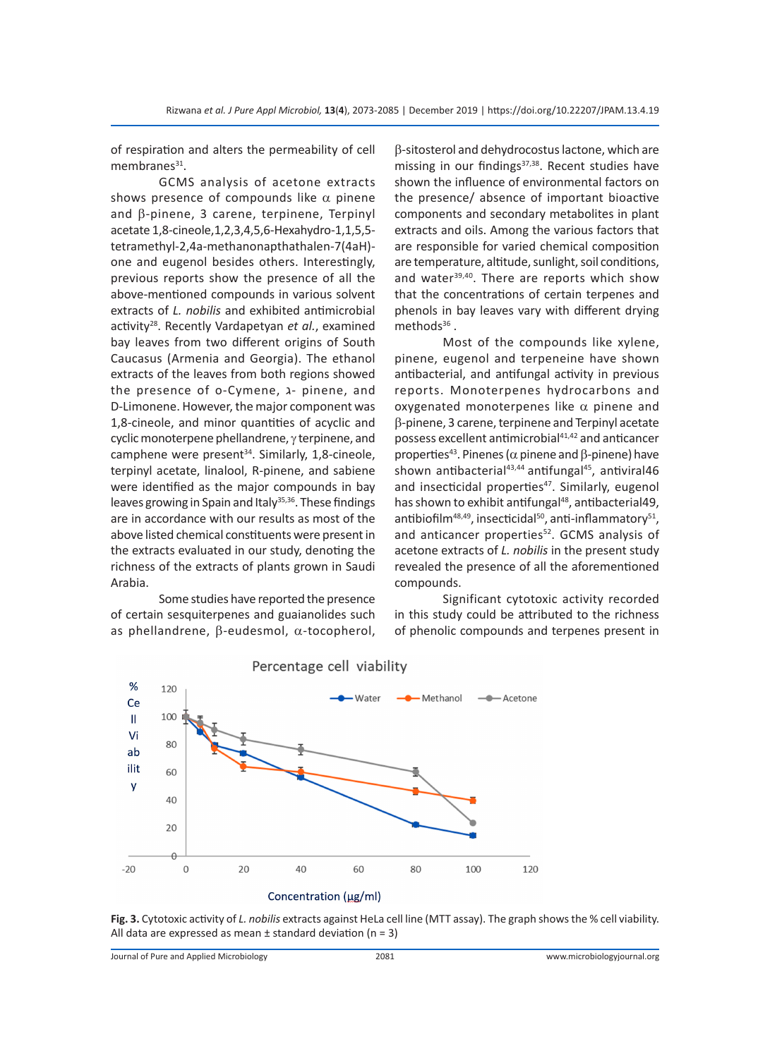of respiration and alters the permeability of cell membranes $31$ .

GCMS analysis of acetone extracts shows presence of compounds like  $\alpha$  pinene and β-pinene, 3 carene, terpinene, Terpinyl acetate 1,8-cineole,1,2,3,4,5,6-Hexahydro-1,1,5,5 tetramethyl-2,4a-methanonapthathalen-7(4aH) one and eugenol besides others. Interestingly, previous reports show the presence of all the above-mentioned compounds in various solvent extracts of *L. nobilis* and exhibited antimicrobial activity28. Recently Vardapetyan *et al.*, examined bay leaves from two different origins of South Caucasus (Armenia and Georgia). The ethanol extracts of the leaves from both regions showed the presence of o-Cymene, ג- pinene, and D-Limonene. However, the major component was 1,8-cineole, and minor quantities of acyclic and cyclic monoterpene phellandrene, γ terpinene, and camphene were present<sup>34</sup>. Similarly, 1,8-cineole, terpinyl acetate, linalool, R-pinene, and sabiene were identified as the major compounds in bay leaves growing in Spain and Italy<sup>35,36</sup>. These findings are in accordance with our results as most of the above listed chemical constituents were present in the extracts evaluated in our study, denoting the richness of the extracts of plants grown in Saudi Arabia.

Some studies have reported the presence of certain sesquiterpenes and guaianolides such as phellandrene, β-eudesmol, α-tocopherol, β-sitosterol and dehydrocostus lactone, which are missing in our findings $37,38$ . Recent studies have shown the influence of environmental factors on the presence/ absence of important bioactive components and secondary metabolites in plant extracts and oils. Among the various factors that are responsible for varied chemical composition are temperature, altitude, sunlight, soil conditions, and water<sup>39,40</sup>. There are reports which show that the concentrations of certain terpenes and phenols in bay leaves vary with different drying methods $36$ .

Most of the compounds like xylene, pinene, eugenol and terpeneine have shown antibacterial, and antifungal activity in previous reports. Monoterpenes hydrocarbons and oxygenated monoterpenes like  $\alpha$  pinene and β-pinene, 3 carene, terpinene and Terpinyl acetate possess excellent antimicrobial<sup>41,42</sup> and anticancer properties<sup>43</sup>. Pinenes ( $\alpha$  pinene and  $\beta$ -pinene) have shown antibacterial $43,44$  antifungal $45$ , antiviral $46$ and insecticidal properties $47$ . Similarly, eugenol has shown to exhibit antifungal<sup>48</sup>, antibacterial49, antibiofilm<sup>48,49</sup>, insecticidal<sup>50</sup>, anti-inflammatory<sup>51</sup>, and anticancer properties<sup>52</sup>. GCMS analysis of acetone extracts of *L. nobilis* in the present study revealed the presence of all the aforementioned compounds.

Significant cytotoxic activity recorded in this study could be attributed to the richness of phenolic compounds and terpenes present in





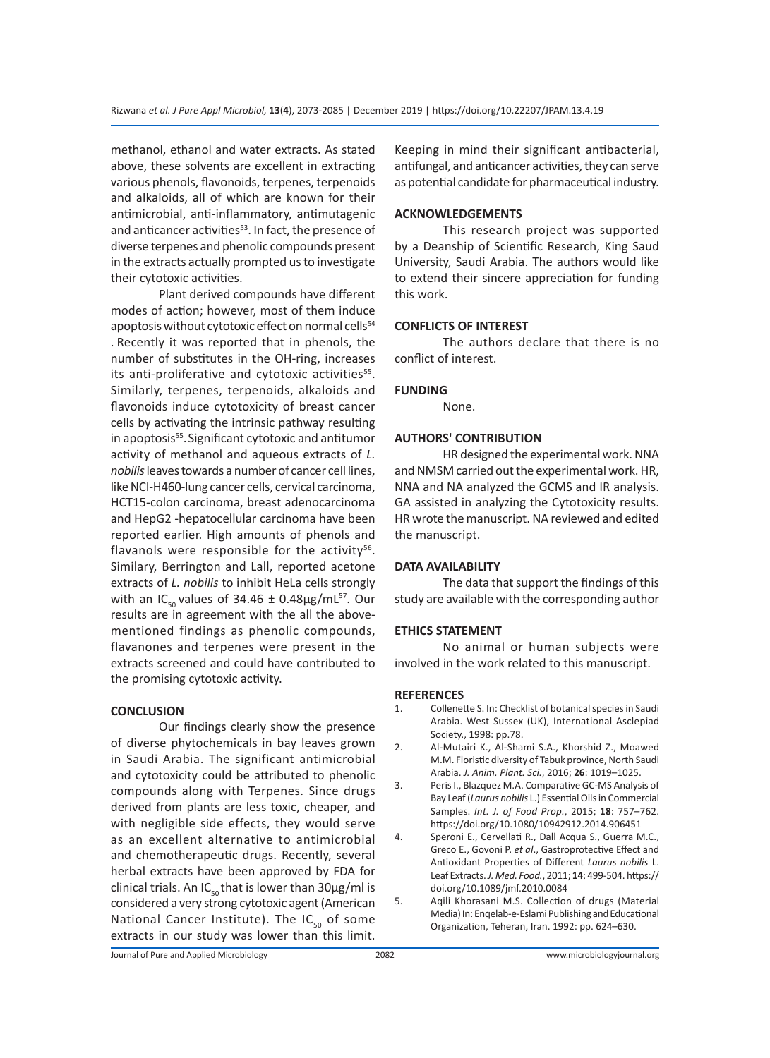methanol, ethanol and water extracts. As stated above, these solvents are excellent in extracting various phenols, flavonoids, terpenes, terpenoids and alkaloids, all of which are known for their antimicrobial, anti-inflammatory, antimutagenic and anticancer activities<sup>53</sup>. In fact, the presence of diverse terpenes and phenolic compounds present in the extracts actually prompted us to investigate their cytotoxic activities.

Plant derived compounds have different modes of action; however, most of them induce apoptosis without cytotoxic effect on normal cells<sup>54</sup> . Recently it was reported that in phenols, the number of substitutes in the OH-ring, increases its anti-proliferative and cytotoxic activities<sup>55</sup>. Similarly, terpenes, terpenoids, alkaloids and flavonoids induce cytotoxicity of breast cancer cells by activating the intrinsic pathway resulting in apoptosis<sup>55</sup>. Significant cytotoxic and antitumor activity of methanol and aqueous extracts of *L. nobilis* leaves towards a number of cancer cell lines, like NCI-H460-lung cancer cells, cervical carcinoma, HCT15-colon carcinoma, breast adenocarcinoma and HepG2 -hepatocellular carcinoma have been reported earlier. High amounts of phenols and flavanols were responsible for the activity $56$ . Similary, Berrington and Lall, reported acetone extracts of *L. nobilis* to inhibit HeLa cells strongly with an IC<sub>50</sub> values of 34.46  $\pm$  0.48µg/mL<sup>57</sup>. Our results are in agreement with the all the abovementioned findings as phenolic compounds, flavanones and terpenes were present in the extracts screened and could have contributed to the promising cytotoxic activity.

# **CONCLUSION**

Our findings clearly show the presence of diverse phytochemicals in bay leaves grown in Saudi Arabia. The significant antimicrobial and cytotoxicity could be attributed to phenolic compounds along with Terpenes. Since drugs derived from plants are less toxic, cheaper, and with negligible side effects, they would serve as an excellent alternative to antimicrobial and chemotherapeutic drugs. Recently, several herbal extracts have been approved by FDA for clinical trials. An IC<sub>50</sub> that is lower than 30 $\mu$ g/ml is considered a very strong cytotoxic agent (American National Cancer Institute). The  $IC_{50}$  of some extracts in our study was lower than this limit.

Keeping in mind their significant antibacterial, antifungal, and anticancer activities, they can serve as potential candidate for pharmaceutical industry.

# **ACKNOWLEDGEMENTS**

This research project was supported by a Deanship of Scientific Research, King Saud University, Saudi Arabia. The authors would like to extend their sincere appreciation for funding this work.

# **CONFLICTS OF INTEREST**

The authors declare that there is no conflict of interest.

# **FUNDING**

None.

# **AUTHORS' CONTRIBUTION**

HR designed the experimental work. NNA and NMSM carried out the experimental work. HR, NNA and NA analyzed the GCMS and IR analysis. GA assisted in analyzing the Cytotoxicity results. HR wrote the manuscript. NA reviewed and edited the manuscript.

#### **DATA AVAILABILITY**

The data that support the findings of this study are available with the corresponding author

# **ETHICS STATEMENT**

No animal or human subjects were involved in the work related to this manuscript.

#### **REFERENCES**

- 1. Collenette S. In: Checklist of botanical species in Saudi Arabia. West Sussex (UK), International Asclepiad Society., 1998: pp.78.
- 2. Al-Mutairi K., Al-Shami S.A., Khorshid Z., Moawed M.M. Floristic diversity of Tabuk province, North Saudi Arabia. *J. Anim. Plant. Sci.*, 2016; **26**: 1019–1025.
- 3. Peris I., Blazquez M.A. Comparative GC-MS Analysis of Bay Leaf (*Laurus nobilis* L.) Essential Oils in Commercial Samples. *Int. J. of Food Prop.*, 2015; **18**: 757–762. https://doi.org/10.1080/10942912.2014.906451
- 4. Speroni E., Cervellati R., Dall Acqua S., Guerra M.C., Greco E., Govoni P. *et al*., Gastroprotective Effect and Antioxidant Properties of Different *Laurus nobilis* L. Leaf Extracts. *J. Med. Food.*, 2011; **14**: 499-504. https:// doi.org/10.1089/jmf.2010.0084
- 5. Aqili Khorasani M.S. Collection of drugs (Material Media) In: Enqelab-e-Eslami Publishing and Educational Organization, Teheran, Iran. 1992: pp. 624–630.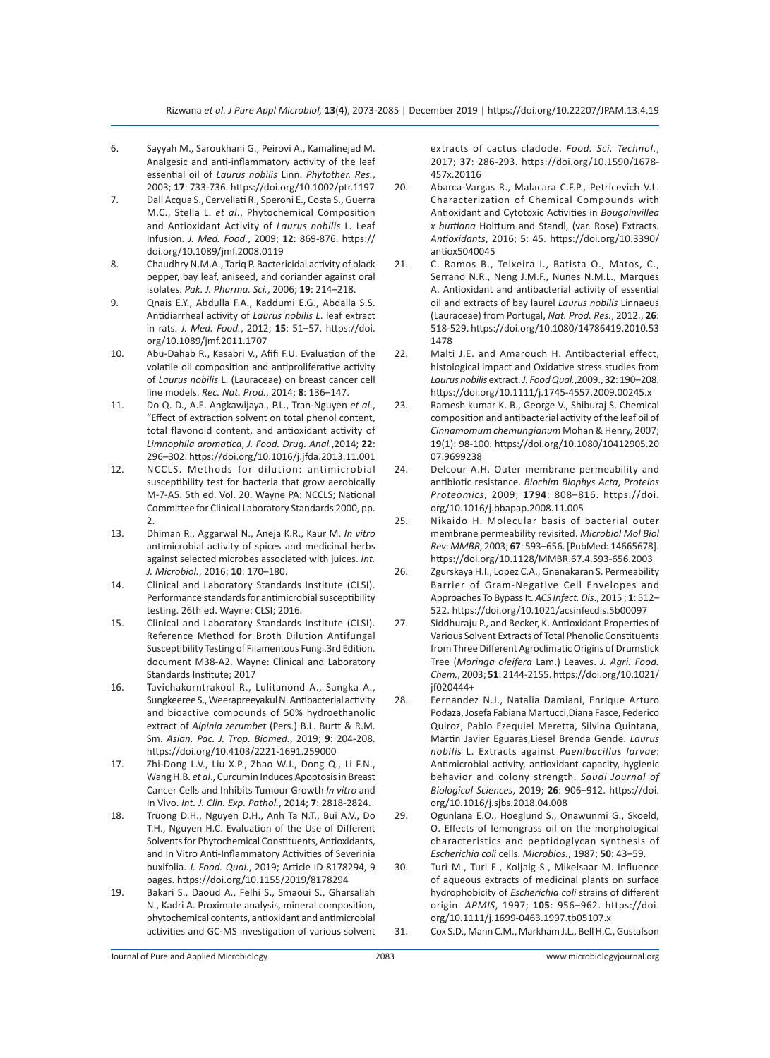- 6. Sayyah M., Saroukhani G., Peirovi A., Kamalinejad M. Analgesic and anti-inflammatory activity of the leaf essential oil of *Laurus nobilis* Linn. *Phytother. Res.*, 2003; **17**: 733-736. https://doi.org/10.1002/ptr.1197
- 7. Dall Acqua S., Cervellati R., Speroni E., Costa S., Guerra M.C., Stella L. *et al*., Phytochemical Composition and Antioxidant Activity of *Laurus nobilis* L*.* Leaf Infusion. *J. Med. Food.*, 2009; **12**: 869-876. https:// doi.org/10.1089/jmf.2008.0119
- 8. Chaudhry N.M.A., Tariq P. Bactericidal activity of black pepper, bay leaf, aniseed, and coriander against oral isolates. *Pak. J. Pharma. Sci.*, 2006; **19**: 214–218.
- 9. Qnais E.Y., Abdulla F.A., Kaddumi E.G., Abdalla S.S. Antidiarrheal activity of *Laurus nobilis L*. leaf extract in rats. *J. Med. Food.*, 2012; **15**: 51–57. https://doi. org/10.1089/jmf.2011.1707
- 10. Abu-Dahab R., Kasabri V., Afifi F.U. Evaluation of the volatile oil composition and antiproliferative activity of *Laurus nobilis* L. (Lauraceae) on breast cancer cell line models. *Rec. Nat. Prod.*, 2014; **8**: 136–147.
- 11. Do Q. D., A.E. Angkawijaya., P.L., Tran-Nguyen *et al.*, "Effect of extraction solvent on total phenol content, total flavonoid content, and antioxidant activity of *Limnophila aromatica*, *J. Food. Drug. Anal.*,2014; **22**: 296–302. https://doi.org/10.1016/j.jfda.2013.11.001
- 12. NCCLS. Methods for dilution: antimicrobial susceptibility test for bacteria that grow aerobically M-7-A5. 5th ed. Vol. 20. Wayne PA: NCCLS; National Committee for Clinical Laboratory Standards 2000, pp. 2.
- 13. Dhiman R., Aggarwal N., Aneja K.R., Kaur M. *In vitro*  antimicrobial activity of spices and medicinal herbs against selected microbes associated with juices. *Int. J. Microbiol.*, 2016; **10**: 170–180.
- 14. Clinical and Laboratory Standards Institute (CLSI). Performance standards for antimicrobial susceptibility testing. 26th ed. Wayne: CLSI; 2016.
- 15. Clinical and Laboratory Standards Institute (CLSI). Reference Method for Broth Dilution Antifungal Susceptibility Testing of Filamentous Fungi.3rd Edition. document M38-A2. Wayne: Clinical and Laboratory Standards Institute; 2017
- 16. Tavichakorntrakool R., Lulitanond A., Sangka A., Sungkeeree S., Weerapreeyakul N. Antibacterial activity and bioactive compounds of 50% hydroethanolic extract of *Alpinia zerumbet* (Pers.) B.L. Burtt & R.M. Sm. *Asian. Pac. J. Trop. Biomed.*, 2019; **9**: 204-208. https://doi.org/10.4103/2221-1691.259000
- 17. Zhi-Dong L.V., Liu X.P., Zhao W.J., Dong Q., Li F.N., Wang H.B. *et al*., Curcumin Induces Apoptosis in Breast Cancer Cells and Inhibits Tumour Growth *In vitro* and In Vivo. *Int. J. Clin. Exp. Pathol.*, 2014; **7**: 2818-2824.
- 18. Truong D.H., Nguyen D.H., Anh Ta N.T., Bui A.V., Do T.H., Nguyen H.C. Evaluation of the Use of Different Solvents for Phytochemical Constituents, Antioxidants, and In Vitro Anti-Inflammatory Activities of Severinia buxifolia. *J. Food. Qual.*, 2019; Article ID 8178294, 9 pages. https://doi.org/10.1155/2019/8178294
- 19. Bakari S., Daoud A., Felhi S., Smaoui S., Gharsallah N., Kadri A. Proximate analysis, mineral composition, phytochemical contents, antioxidant and antimicrobial activities and GC-MS investigation of various solvent

extracts of cactus cladode. *Food. Sci. Technol.*, 2017; **37**: 286-293. https://doi.org/10.1590/1678- 457x.20116

- 20. Abarca-Vargas R., Malacara C.F.P., Petricevich V.L. Characterization of Chemical Compounds with Antioxidant and Cytotoxic Activities in *Bougainvillea x buttiana* Holttum and Standl, (var. Rose) Extracts. *Antioxidants*, 2016; **5**: 45. https://doi.org/10.3390/ antiox5040045
- 21. C. Ramos B., Teixeira I., Batista O., Matos, C., Serrano N.R., Neng J.M.F., Nunes N.M.L., Marques A. Antioxidant and antibacterial activity of essential oil and extracts of bay laurel *Laurus nobilis* Linnaeus (Lauraceae) from Portugal, *Nat. Prod. Res.*, 2012., **26**: 518-529. https://doi.org/10.1080/14786419.2010.53 1478
- 22. Malti J.E. and Amarouch H. Antibacterial effect, histological impact and Oxidative stress studies from *Laurus nobilis* extract. *J. Food Qual.*,2009., **32**: 190–208. https://doi.org/10.1111/j.1745-4557.2009.00245.x
- 23. Ramesh kumar K. B., George V., Shiburaj S. Chemical composition and antibacterial activity of the leaf oil of *Cinnamomum chemungianum* Mohan & Henry, 2007; **19**(1): 98-100. https://doi.org/10.1080/10412905.20 07.9699238
- 24. Delcour A.H. Outer membrane permeability and antibiotic resistance. *Biochim Biophys Acta*, *Proteins Proteomics*, 2009; **1794**: 808–816. https://doi. org/10.1016/j.bbapap.2008.11.005
- 25. Nikaido H. Molecular basis of bacterial outer membrane permeability revisited. *Microbiol Mol Biol Rev*: *MMBR*, 2003; **67**: 593–656. [PubMed: 14665678]. https://doi.org/10.1128/MMBR.67.4.593-656.2003
- 26. Zgurskaya H.I., Lopez C.A., Gnanakaran S. Permeability Barrier of Gram-Negative Cell Envelopes and Approaches To Bypass It. *ACS Infect. Dis*., 2015 ; **1**: 512– 522. https://doi.org/10.1021/acsinfecdis.5b00097
- 27. Siddhuraju P., and Becker, K. Antioxidant Properties of Various Solvent Extracts of Total Phenolic Constituents from Three Different Agroclimatic Origins of Drumstick Tree (*Moringa oleifera* Lam.) Leaves. *J. Agri. Food. Chem.*, 2003; **51**: 2144-2155. https://doi.org/10.1021/ if020444+
- 28. Fernandez N.J., Natalia Damiani, Enrique Arturo Podaza, Josefa Fabiana Martucci,Diana Fasce, Federico Quiroz, Pablo Ezequiel Meretta, Silvina Quintana, Martin Javier Eguaras,Liesel Brenda Gende. *Laurus nobilis* L. Extracts against *Paenibacillus larvae*: Antimicrobial activity, antioxidant capacity, hygienic behavior and colony strength. *Saudi Journal of Biological Sciences*, 2019; **26**: 906–912. https://doi. org/10.1016/j.sjbs.2018.04.008
- 29. Ogunlana E.O., Hoeglund S., Onawunmi G., Skoeld, O. Effects of lemongrass oil on the morphological characteristics and peptidoglycan synthesis of *Escherichia coli* cells. *Microbios.*, 1987; **50**: 43–59.
- 30. Turi M., Turi E., Koljalg S., Mikelsaar M. Influence of aqueous extracts of medicinal plants on surface hydrophobicity of *Escherichia coli* strains of different origin. *APMIS*, 1997; **105**: 956–962. https://doi. org/10.1111/j.1699-0463.1997.tb05107.x
- 31. Cox S.D., Mann C.M., Markham J.L., Bell H.C., Gustafson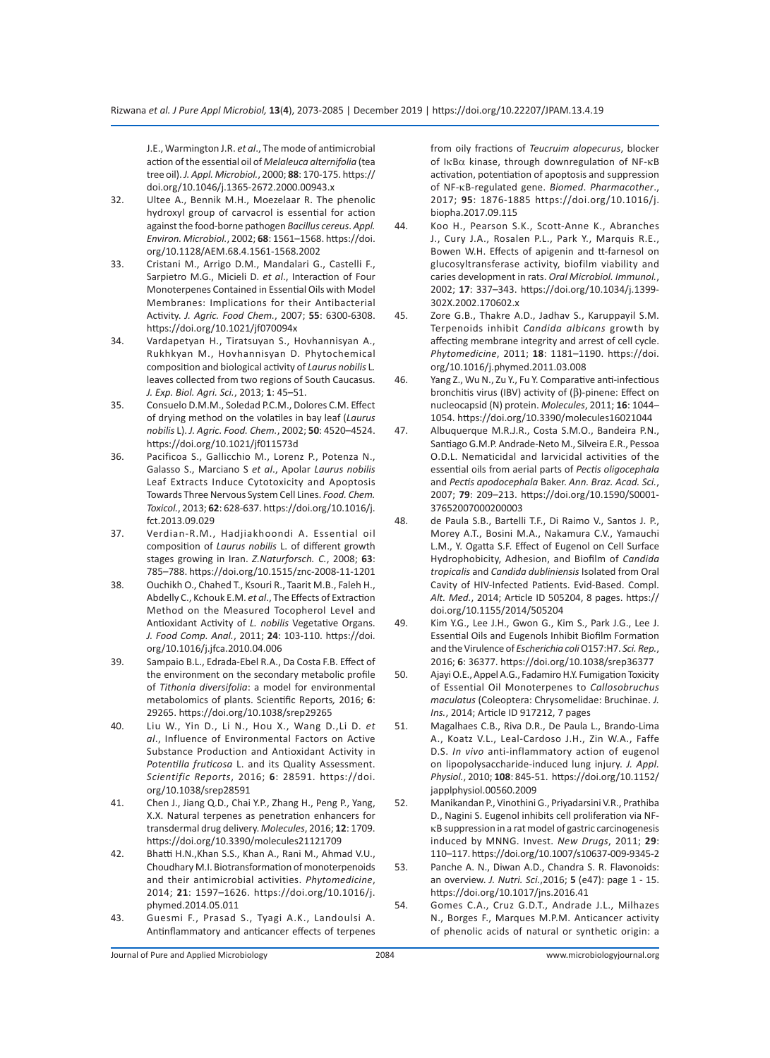J.E., Warmington J.R. *et al*., The mode of antimicrobial action of the essential oil of *Melaleuca alternifolia* (tea tree oil). *J. Appl. Microbiol.*, 2000; **88**: 170-175. https:// doi.org/10.1046/j.1365-2672.2000.00943.x

- 32. Ultee A., Bennik M.H., Moezelaar R. The phenolic hydroxyl group of carvacrol is essential for action against the food-borne pathogen *Bacillus cereus*. *Appl. Environ. Microbiol.*, 2002; **68**: 1561–1568. https://doi. org/10.1128/AEM.68.4.1561-1568.2002
- 33. Cristani M., Arrigo D.M., Mandalari G., Castelli F., Sarpietro M.G., Micieli D. *et al*., Interaction of Four Monoterpenes Contained in Essential Oils with Model Membranes: Implications for their Antibacterial Activity. *J. Agric. Food Chem.*, 2007; **55**: 6300-6308. https://doi.org/10.1021/jf070094x
- 34. Vardapetyan H., Tiratsuyan S., Hovhannisyan A., Rukhkyan M., Hovhannisyan D. Phytochemical composition and biological activity of *Laurus nobilis* L*.* leaves collected from two regions of South Caucasus. *J. Exp. Biol. Agri. Sci.*, 2013; **1**: 45–51.
- 35. Consuelo D.M.M., Soledad P.C.M., Dolores C.M. Effect of drying method on the volatiles in bay leaf (*Laurus nobilis* L). *J. Agric. Food. Chem.*, 2002; **50**: 4520–4524. https://doi.org/10.1021/jf011573d
- 36. Pacificoa S., Gallicchio M., Lorenz P., Potenza N., Galasso S., Marciano S *et al*., Apolar *Laurus nobilis* Leaf Extracts Induce Cytotoxicity and Apoptosis Towards Three Nervous System Cell Lines. *Food. Chem. Toxicol.*, 2013; **62**: 628-637. https://doi.org/10.1016/j. fct.2013.09.029
- 37. Verdian-R.M., Hadjiakhoondi A. Essential oil composition of *Laurus nobilis* L. of different growth stages growing in Iran. *Z.Naturforsch. C.*, 2008; **63**: 785–788. https://doi.org/10.1515/znc-2008-11-1201
- 38. Ouchikh O., Chahed T., Ksouri R., Taarit M.B., Faleh H., Abdelly C., Kchouk E.M. *et al*., The Effects of Extraction Method on the Measured Tocopherol Level and Antioxidant Activity of *L. nobilis* Vegetative Organs. *J. Food Comp. Anal.*, 2011; **24**: 103-110. https://doi. org/10.1016/j.jfca.2010.04.006
- 39. Sampaio B.L., Edrada-Ebel R.A., Da Costa F.B. Effect of the environment on the secondary metabolic profile of *Tithonia diversifolia*: a model for environmental metabolomics of plants. Scientific Reports*,* 2016; **6**: 29265. https://doi.org/10.1038/srep29265
- 40. Liu W., Yin D., Li N., Hou X., Wang D.,Li D. *et al*., Influence of Environmental Factors on Active Substance Production and Antioxidant Activity in *Potentilla fruticosa* L. and its Quality Assessment. *Scientific Reports*, 2016; **6**: 28591. https://doi. org/10.1038/srep28591
- 41. Chen J., Jiang Q.D., Chai Y.P., Zhang H., Peng P., Yang, X.X. Natural terpenes as penetration enhancers for transdermal drug delivery. *Molecules*, 2016; **12**: 1709. https://doi.org/10.3390/molecules21121709
- 42. Bhatti H.N.,Khan S.S., Khan A., Rani M., Ahmad V.U., Choudhary M.I. Biotransformation of monoterpenoids and their antimicrobial activities. *Phytomedicine*, 2014; **21**: 1597–1626. https://doi.org/10.1016/j. phymed.2014.05.011
- 43. Guesmi F., Prasad S., Tyagi A.K., Landoulsi A. Antinflammatory and anticancer effects of terpenes

from oily fractions of *Teucruim alopecurus*, blocker of IκBα kinase, through downregulation of NF-κB activation, potentiation of apoptosis and suppression of NF-κB-regulated gene. *Biomed*. *Pharmacother*., 2017; **95**: 1876-1885 https://doi.org/10.1016/j. biopha.2017.09.115

- 44. Koo H., Pearson S.K., Scott-Anne K., Abranches J., Cury J.A., Rosalen P.L., Park Y., Marquis R.E., Bowen W.H. Effects of apigenin and tt-farnesol on glucosyltransferase activity, biofilm viability and caries development in rats. *Oral Microbiol. Immunol.*, 2002; **17**: 337–343. https://doi.org/10.1034/j.1399- 302X.2002.170602.x
- 45. Zore G.B., Thakre A.D., Jadhav S., Karuppayil S.M. Terpenoids inhibit *Candida albicans* growth by affecting membrane integrity and arrest of cell cycle. *Phytomedicine*, 2011; **18**: 1181–1190. https://doi. org/10.1016/j.phymed.2011.03.008
- 46. Yang Z., Wu N., Zu Y., Fu Y. Comparative anti-infectious bronchitis virus (IBV) activity of  $(\beta)$ -pinene: Effect on nucleocapsid (N) protein. *Molecules*, 2011; **16**: 1044– 1054. https://doi.org/10.3390/molecules16021044
- 47. Albuquerque M.R.J.R., Costa S.M.O., Bandeira P.N., Santiago G.M.P. Andrade-Neto M., Silveira E.R., Pessoa O.D.L. Nematicidal and larvicidal activities of the essential oils from aerial parts of *Pectis oligocephala* and *Pectis apodocephala* Baker. *Ann. Braz. Acad. Sci.*, 2007; **79**: 209–213. https://doi.org/10.1590/S0001- 37652007000200003
- 48. de Paula S.B., Bartelli T.F., Di Raimo V., Santos J. P., Morey A.T., Bosini M.A., Nakamura C.V., Yamauchi L.M., Y. Ogatta S.F. Effect of Eugenol on Cell Surface Hydrophobicity, Adhesion, and Biofilm of *Candida tropicalis* and *Candida dubliniensis* Isolated from Oral Cavity of HIV-Infected Patients. Evid-Based. Compl. *Alt. Med.*, 2014; Article ID 505204, 8 pages. https:// doi.org/10.1155/2014/505204
- 49. Kim Y.G., Lee J.H., Gwon G., Kim S., Park J.G., Lee J. Essential Oils and Eugenols Inhibit Biofilm Formation and the Virulence of *Escherichia coli* O157:H7. *Sci. Rep.*, 2016; **6**: 36377. https://doi.org/10.1038/srep36377
- 50. Ajayi O.E., Appel A.G., Fadamiro H.Y. Fumigation Toxicity of Essential Oil Monoterpenes to *Callosobruchus maculatus* (Coleoptera: Chrysomelidae: Bruchinae. *J. Ins.*, 2014; Article ID 917212, 7 pages
- 51. Magalhaes C.B., Riva D.R., De Paula L., Brando-Lima A., Koatz V.L., Leal-Cardoso J.H., Zin W.A., Faffe D.S. *In vivo* anti-inflammatory action of eugenol on lipopolysaccharide-induced lung injury. *J. Appl. Physiol.*, 2010; **108**: 845-51. https://doi.org/10.1152/ japplphysiol.00560.2009
- 52. Manikandan P., Vinothini G., Priyadarsini V.R., Prathiba D., Nagini S. Eugenol inhibits cell proliferation via NFκB suppression in a rat model of gastric carcinogenesis induced by MNNG. Invest. *New Drugs*, 2011; **29**: 110–117. https://doi.org/10.1007/s10637-009-9345-2
- 53. Panche A. N., Diwan A.D., Chandra S. R. Flavonoids: an overview. *J. Nutri. Sci.*,2016; **5** (e47): page 1 - 15. https://doi.org/10.1017/jns.2016.41
- 54. Gomes C.A., Cruz G.D.T., Andrade J.L., Milhazes N., Borges F., Marques M.P.M. Anticancer activity of phenolic acids of natural or synthetic origin: a

Journal of Pure and Applied Microbiology